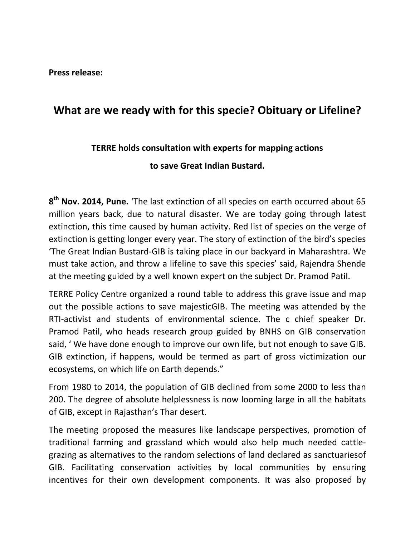**Press release:**

## **What are we ready with for this specie? Obituary or Lifeline?**

## **TERRE holds consultation with experts for mapping actions**

**to save Great Indian Bustard.** 

**8 th Nov. 2014, Pune.** 'The last extinction of all species on earth occurred about 65 million years back, due to natural disaster. We are today going through latest extinction, this time caused by human activity. Red list of species on the verge of extinction is getting longer every year. The story of extinction of the bird's species 'The Great Indian Bustard-GIB is taking place in our backyard in Maharashtra. We must take action, and throw a lifeline to save this species' said, Rajendra Shende at the meeting guided by a well known expert on the subject Dr. Pramod Patil.

TERRE Policy Centre organized a round table to address this grave issue and map out the possible actions to save majesticGIB. The meeting was attended by the RTI-activist and students of environmental science. The c chief speaker Dr. Pramod Patil, who heads research group guided by BNHS on GIB conservation said, ' We have done enough to improve our own life, but not enough to save GIB. GIB extinction, if happens, would be termed as part of gross victimization our ecosystems, on which life on Earth depends."

From 1980 to 2014, the population of GIB declined from some 2000 to less than 200. The degree of absolute helplessness is now looming large in all the habitats of GIB, except in Rajasthan's Thar desert.

The meeting proposed the measures like landscape perspectives, promotion of traditional farming and grassland which would also help much needed cattlegrazing as alternatives to the random selections of land declared as sanctuariesof GIB. Facilitating conservation activities by local communities by ensuring incentives for their own development components. It was also proposed by